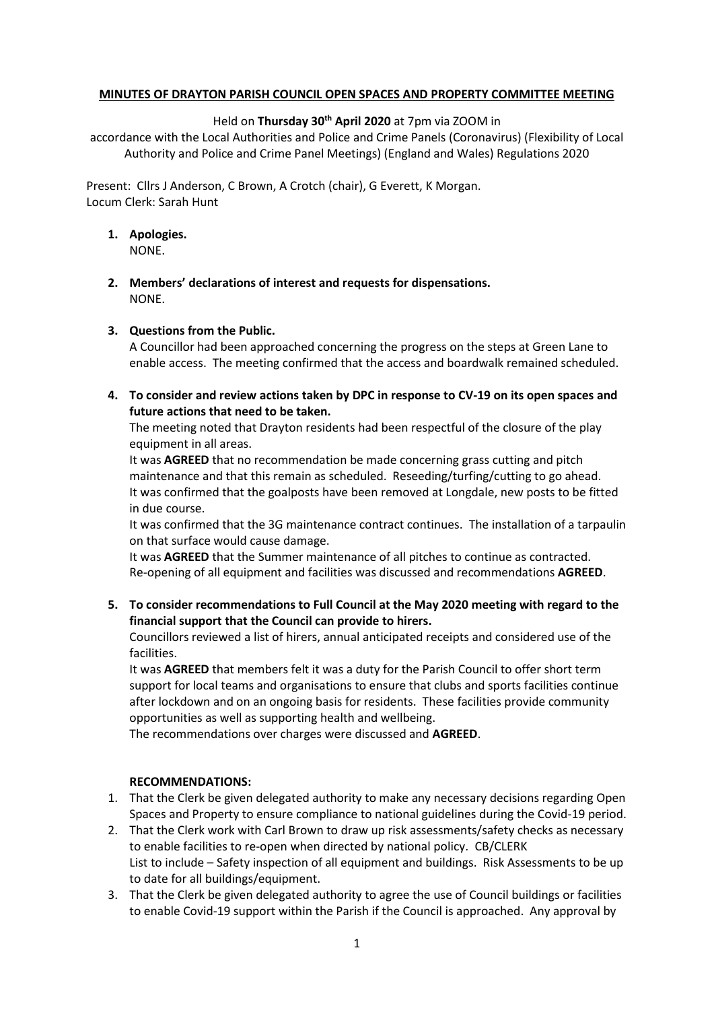## **MINUTES OF DRAYTON PARISH COUNCIL OPEN SPACES AND PROPERTY COMMITTEE MEETING**

## Held on **Thursday 30th April 2020** at 7pm via ZOOM in

accordance with the Local Authorities and Police and Crime Panels (Coronavirus) (Flexibility of Local Authority and Police and Crime Panel Meetings) (England and Wales) Regulations 2020

Present: Cllrs J Anderson, C Brown, A Crotch (chair), G Everett, K Morgan. Locum Clerk: Sarah Hunt

- **1. Apologies.** NONE.
- **2. Members' declarations of interest and requests for dispensations.** NONE.

## **3. Questions from the Public.**

A Councillor had been approached concerning the progress on the steps at Green Lane to enable access. The meeting confirmed that the access and boardwalk remained scheduled.

**4. To consider and review actions taken by DPC in response to CV-19 on its open spaces and future actions that need to be taken.**

The meeting noted that Drayton residents had been respectful of the closure of the play equipment in all areas.

It was **AGREED** that no recommendation be made concerning grass cutting and pitch maintenance and that this remain as scheduled. Reseeding/turfing/cutting to go ahead. It was confirmed that the goalposts have been removed at Longdale, new posts to be fitted in due course.

It was confirmed that the 3G maintenance contract continues. The installation of a tarpaulin on that surface would cause damage.

It was **AGREED** that the Summer maintenance of all pitches to continue as contracted. Re-opening of all equipment and facilities was discussed and recommendations **AGREED**.

**5. To consider recommendations to Full Council at the May 2020 meeting with regard to the financial support that the Council can provide to hirers.**

Councillors reviewed a list of hirers, annual anticipated receipts and considered use of the facilities.

It was **AGREED** that members felt it was a duty for the Parish Council to offer short term support for local teams and organisations to ensure that clubs and sports facilities continue after lockdown and on an ongoing basis for residents. These facilities provide community opportunities as well as supporting health and wellbeing.

The recommendations over charges were discussed and **AGREED**.

## **RECOMMENDATIONS:**

- 1. That the Clerk be given delegated authority to make any necessary decisions regarding Open Spaces and Property to ensure compliance to national guidelines during the Covid-19 period.
- 2. That the Clerk work with Carl Brown to draw up risk assessments/safety checks as necessary to enable facilities to re-open when directed by national policy. CB/CLERK List to include – Safety inspection of all equipment and buildings. Risk Assessments to be up to date for all buildings/equipment.
- 3. That the Clerk be given delegated authority to agree the use of Council buildings or facilities to enable Covid-19 support within the Parish if the Council is approached. Any approval by